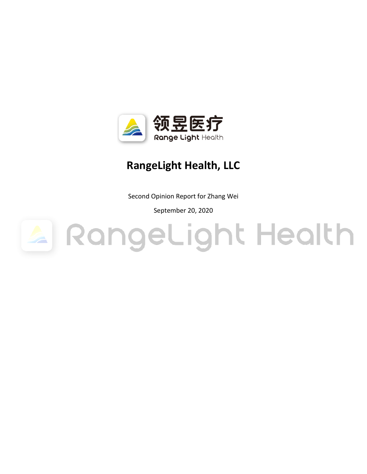

# **RangeLight Health, LLC**

Second Opinion Report for Zhang Wei

September 20, 2020

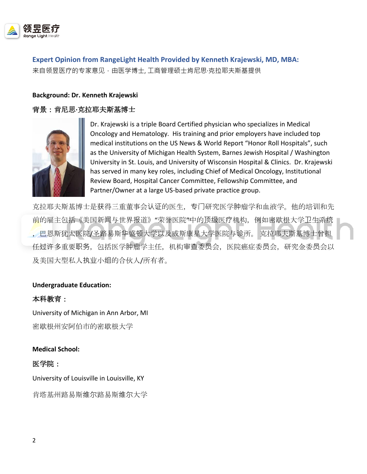

**Expert Opinion from RangeLight Health Provided by Kenneth Krajewski, MD, MBA:**

来自领昱医疗的专家意见,由医学博士, 工商管理硕士肯尼思·克拉耶夫斯基提供

### **Background: Dr. Kenneth Krajewski**

# 背景:肯尼思**·**克拉耶夫斯基博士



Dr. Krajewski is a triple Board Certified physician who specializes in Medical Oncology and Hematology. His training and prior employers have included top medical institutions on the US News & World Report "Honor Roll Hospitals", such as the University of Michigan Health System, Barnes Jewish Hospital / Washington University in St. Louis, and University of Wisconsin Hospital & Clinics. Dr. Krajewski has served in many key roles, including Chief of Medical Oncology, Institutional Review Board, Hospital Cancer Committee, Fellowship Committee, and Partner/Owner at a large US-based private practice group.

克拉耶夫斯基博士是获得三重董事会认证的医生,专门研究医学肿瘤学和血液学。他的培训和先 前的雇主包括《美国新闻与世界报道》"荣誉医院"中的顶级医疗机构,例如密歇根大学卫生系统 ,巴恩斯犹太医院/圣路易斯华盛顿大学以及威斯康星大学医院与诊所。 克拉耶夫斯基博士曾担 任过许多重要职务,包括医学肿瘤学主任,机构审查委员会,医院癌症委员会,研究金委员会以 及美国大型私人执业小组的合伙人/所有者。

### **Undergraduate Education:**

### 本科教育:

University of Michigan in Ann Arbor, MI 密歇根州安阿伯市的密歇根大学

**Medical School:**

### 医学院:

University of Louisville in Louisville, KY

肯塔基州路易斯维尔路易斯维尔大学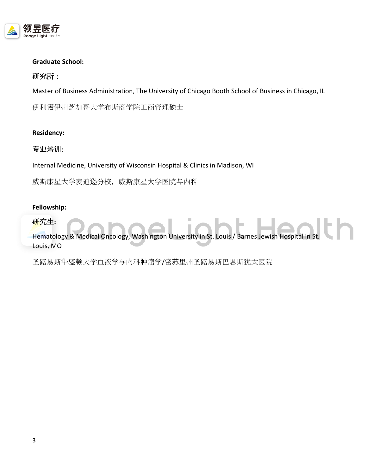

### **Graduate School:**

### 研究所:

Master of Business Administration, The University of Chicago Booth School of Business in Chicago, IL

伊利诺伊州芝加哥大学布斯商学院工商管理硕士

### **Residency:**

### **专业**培**训:**

Internal Medicine, University of Wisconsin Hospital & Clinics in Madison, WI

威斯康星大学麦迪逊分校,威斯康星大学医院与内科

### **Fellowship:**

#### 研究生**:**

研究生:<br>Hematology & Medical Oncology, Washington University in St. Louis / Barnes Jewish Hospital in St. Louis, MO

圣路易斯华盛顿大学血液学与内科肿瘤学/密苏里州圣路易斯巴恩斯犹太医院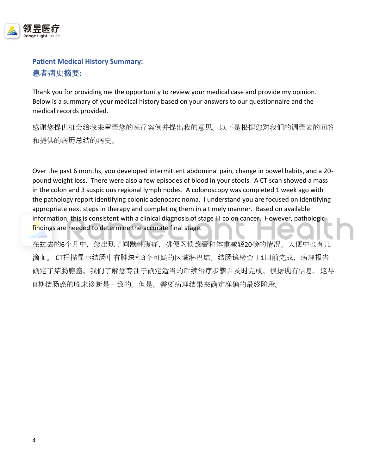

# **Patient Medical History Summary:** 患者病史摘要**:**

Thank you for providing me the opportunity to review your medical case and provide my opinion. Below is a summary of your medical history based on your answers to our questionnaire and the medical records provided.

感谢您提供机会给我来审查您的医疗案例并提出我的意见。以下是根据您对我们的调查表的回答 和提供的病历总结的病史。

Over the past 6 months, you developed intermittent abdominal pain, change in bowel habits, and a 20 pound weight loss. There were also a few episodes of blood in your stools. A CT scan showed a mass in the colon and 3 suspicious regional lymph nodes. A colonoscopy was completed 1 week ago with the pathology report identifying colonic adenocarcinoma. I understand you are focused on identifying appropriate next steps in therapy and completing them in a timely manner. Based on available information, this is consistent with a clinical diagnosis of stage III colon cancer. However, pathologic findings are needed to determine the accurate final stage.

在过去的6个月中,您出现了间歇性腹痛,排便习惯改变和体重减轻20磅的情况。大便中也有几 滴血。 CT扫描显示结肠中有肿块和3个可疑的区域淋巴结。结肠镜检查于1周前完成,病理报告 确定了结肠腺癌。我们了解您专注于确定适当的后续治疗步骤并及时完成。根据现有信息,这与 III期结肠癌的临床诊断是一致的。但是,需要病理结果来确定准确的最终阶段。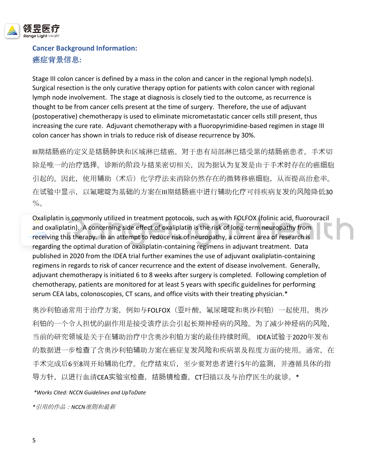

# **Cancer Background Information:** 癌症背景信息**:**

Stage III colon cancer is defined by a mass in the colon and cancer in the regional lymph node(s). Surgical resection is the only curative therapy option for patients with colon cancer with regional lymph node involvement. The stage at diagnosis is closely tied to the outcome, as recurrence is thought to be from cancer cells present at the time of surgery. Therefore, the use of adjuvant (postoperative) chemotherapy is used to eliminate micrometastatic cancer cells still present, thus increasing the cure rate. Adjuvant chemotherapy with a fluoropyrimidine-based regimen in stage III colon cancer has shown in trials to reduce risk of disease recurrence by 30%.

III期结肠癌的定义是结肠肿块和区域淋巴结癌。对于患有局部淋巴结受累的结肠癌患者,手术切 除是唯一的治疗选择。诊断的阶段与结果密切相关,因为据认为复发是由于手术时存在的癌细胞 引起的。因此,使用辅助(术后)化学疗法来消除仍然存在的微转移癌细胞,从而提高治愈率。 在试验中显示,以氟嘧啶为基础的方案在III期结肠癌中进行辅助化疗可将疾病复发的风险降低30  $\%$ 

Oxaliplatin is commonly utilized in treatment protocols, such as with FOLFOX (folinic acid, fluorouracil and oxaliplatin). A concerning side effect of oxaliplatin is the risk of long-term neuropathy from receiving this therapy. In an attempt to reduce risk of neuropathy, a current area of research is regarding the optimal duration of oxaliplatin-containing regimens in adjuvant treatment. Data published in 2020 from the IDEA trial further examines the use of adjuvant oxaliplatin-containing regimens in regards to risk of cancer recurrence and the extent of disease involvement. Generally, adjuvant chemotherapy is initiated 6 to 8 weeks after surgery is completed. Following completion of chemotherapy, patients are monitored for at least 5 years with specific guidelines for performing serum CEA labs, colonoscopies, CT scans, and office visits with their treating physician.\*

奥沙利铂通常用于治疗方案,例如与FOLFOX(亚叶酸,氟尿嘧啶和奥沙利铂)一起使用。奥沙 利铂的一个令人担忧的副作用是接受该疗法会引起长期神经病的风险。为了减少神经病的风险, 当前的研究领域是关于在辅助治疗中含奥沙利铂方案的最佳持续时间。 IDEA试验于2020年发布 的数据进一步检查了含奥沙利铂辅助方案在癌症复发风险和疾病累及程度方面的使用。通常,在 手术完成后6至8周开始辅助化疗。化疗结束后,至少要对患者进行5年的监测,并遵循具体的指 导方针,以进行血清CEA实验室检查,结肠镜检查,CT扫描以及与治疗医生的就诊。\*

*\*Works Cited: NCCN Guidelines and UpToDate*

*\**引用的作品:*NCCN*准则和最新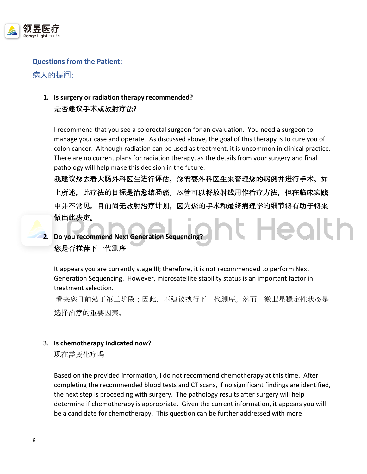

# **Questions from the Patient:**

病人的提问:

# **1. Is surgery or radiation therapy recommended?**  是否建**议**手**术**或放射**疗**法**?**

I recommend that you see a colorectal surgeon for an evaluation. You need a surgeon to manage your case and operate. As discussed above, the goal of this therapy is to cure you of colon cancer. Although radiation can be used as treatment, it is uncommon in clinical practice. There are no current plans for radiation therapy, as the details from your surgery and final pathology will help make this decision in the future.

我建**议**您去看大**肠**外科医生**进**行**评**估。您需要外科医生来管理您的病例并**进**行手**术**。如 上所述,此**疗**法的目**标**是治愈**结肠**癌。尽管可以将放射**线**用作治**疗**方法,但在**临**床**实**践 中并不常**见**。目前尚无放射治**疗计**划,因**为**您的手**术**和最**终**病理学的**细节**将有助于将来 做出此决定。 ht Health



**2. Do you recommend Next Generation Sequencing?**  您是否推荐下一代**测**序

It appears you are currently stage III; therefore, it is not recommended to perform Next Generation Sequencing. However, microsatellite stability status is an important factor in treatment selection.

看来您目前处于第三阶段;因此,不建议执行下一代测序。然而,微卫星稳定性状态是 选择治疗的重要因素。

### 3. **Is chemotherapy indicated now?**

现在需要化疗吗

Based on the provided information, I do not recommend chemotherapy at this time. After completing the recommended blood tests and CT scans, if no significant findings are identified, the next step is proceeding with surgery. The pathology results after surgery will help determine if chemotherapy is appropriate. Given the current information, it appears you will be a candidate for chemotherapy. This question can be further addressed with more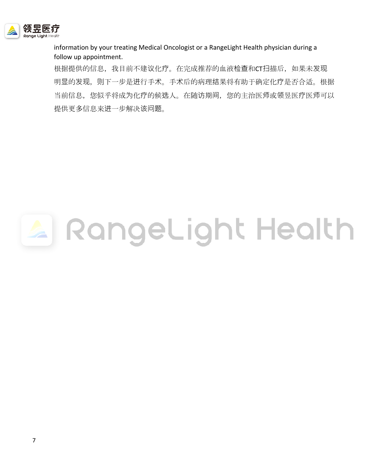

information by your treating Medical Oncologist or a RangeLight Health physician during a follow up appointment.

根据提供的信息,我目前不建议化疗。在完成推荐的血液检查和CT扫描后,如果未发现 明显的发现,则下一步是进行手术。手术后的病理结果将有助于确定化疗是否合适。根据 当前信息,您似乎将成为化疗的候选人。在随访期间,您的主治医师或领昱医疗医师可以 提供更多信息来进一步解决该问题。

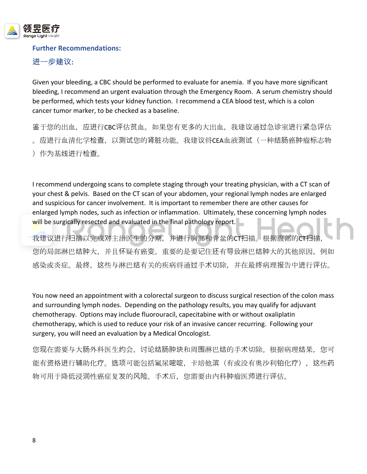

### **Further Recommendations:**

**进**一步建**议:**

Given your bleeding, a CBC should be performed to evaluate for anemia. If you have more significant bleeding, I recommend an urgent evaluation through the Emergency Room. A serum chemistry should be performed, which tests your kidney function. I recommend a CEA blood test, which is a colon cancer tumor marker, to be checked as a baseline.

鉴于您的出血,应进行CBC评估贫血。如果您有更多的大出血,我建议通过急诊室进行紧急评估 。应进行血清化学检查,以测试您的肾脏功能。我建议将CEA血液测试(一种结肠癌肿瘤标志物 )作为基线进行检查。

I recommend undergoing scans to complete staging through your treating physician, with a CT scan of your chest & pelvis. Based on the CT scan of your abdomen, your regional lymph nodes are enlarged and suspicious for cancer involvement. It is important to remember there are other causes for enlarged lymph nodes, such as infection or inflammation. Ultimately, these concerning lymph nodes will be surgically resected and evaluated in the final pathology report.

我建议进行扫描以完成对主治医生的分期,并进行胸部和骨盆的CT扫描。根据腹部的CT扫描, 您的局部淋巴结肿大,并且怀疑有癌变。重要的是要记住还有导致淋巴结肿大的其他原因,例如 感染或炎症。最终,这些与淋巴结有关的疾病将通过手术切除,并在最终病理报告中进行评估。

You now need an appointment with a colorectal surgeon to discuss surgical resection of the colon mass and surrounding lymph nodes. Depending on the pathology results, you may qualify for adjuvant chemotherapy. Options may include fluorouracil, capecitabine with or without oxaliplatin chemotherapy, which is used to reduce your risk of an invasive cancer recurring. Following your surgery, you will need an evaluation by a Medical Oncologist.

您现在需要与大肠外科医生约会,讨论结肠肿块和周围淋巴结的手术切除。根据病理结果,您可 能有资格进行辅助化疗。选项可能包括氟尿嘧啶,卡培他滨(有或没有奥沙利铂化疗),这些药 物可用于降低浸润性癌症复发的风险。手术后,您需要由内科肿瘤医师进行评估。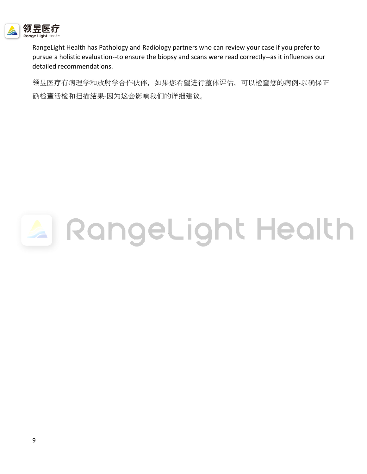

RangeLight Health has Pathology and Radiology partners who can review your case if you prefer to pursue a holistic evaluation--to ensure the biopsy and scans were read correctly--as it influences our detailed recommendations.

领昱医疗有病理学和放射学合作伙伴,如果您希望进行整体评估,可以检查您的病例-以确保正 确检查活检和扫描结果-因为这会影响我们的详细建议。

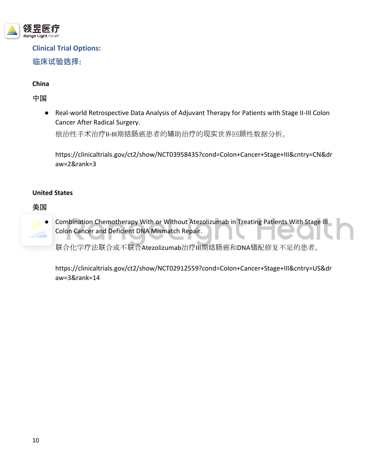

**Clinical Trial Options: 临床试验选择:**

**China**

中国

● Real-world Retrospective Data Analysis of Adjuvant Therapy for Patients with Stage II-III Colon Cancer After Radical Surgery.

根治性手术治疗II-III期结肠癌患者的辅助治疗的现实世界回顾性数据分析。

https://clinicaltrials.gov/ct2/show/NCT03958435?cond=Colon+Cancer+Stage+III&cntry=CN&dr aw=2&rank=3

# **United States**

# 美国

Combination Chemotherapy With or Without Atezolizumab in Treating Patients With Stage III Colon Cancer and Deficient DNA Mismatch Repair.

联合化学疗法联合或不联合Atezolizumab治疗III期结肠癌和DNA错配修复不足的患者。

https://clinicaltrials.gov/ct2/show/NCT02912559?cond=Colon+Cancer+Stage+III&cntry=US&dr aw=3&rank=14